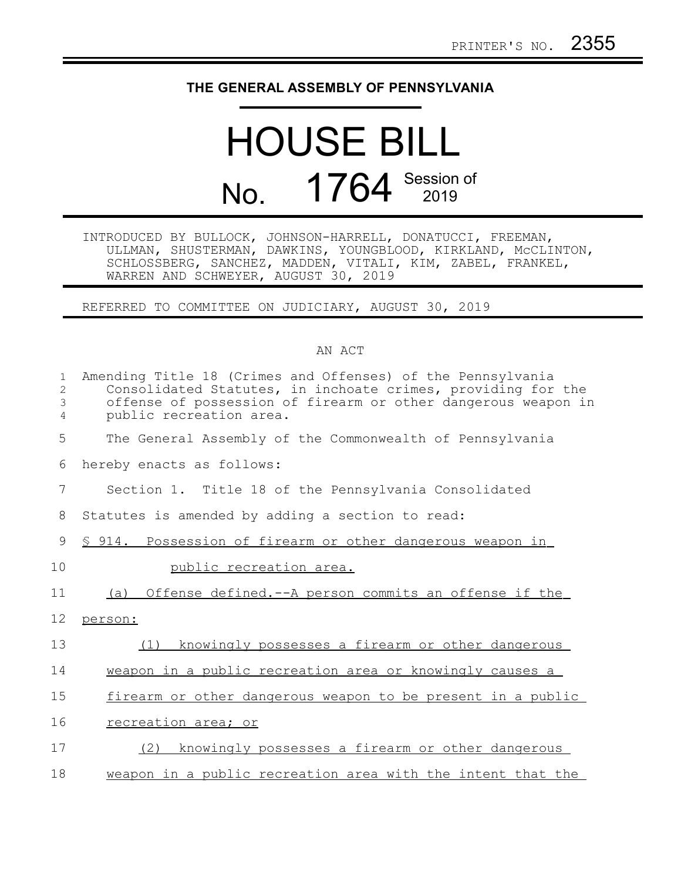## **THE GENERAL ASSEMBLY OF PENNSYLVANIA**

## HOUSE BILL No. 1764 Session of

INTRODUCED BY BULLOCK, JOHNSON-HARRELL, DONATUCCI, FREEMAN, ULLMAN, SHUSTERMAN, DAWKINS, YOUNGBLOOD, KIRKLAND, McCLINTON, SCHLOSSBERG, SANCHEZ, MADDEN, VITALI, KIM, ZABEL, FRANKEL, WARREN AND SCHWEYER, AUGUST 30, 2019

REFERRED TO COMMITTEE ON JUDICIARY, AUGUST 30, 2019

## AN ACT

| $\mathbf{1}$<br>2<br>3<br>4 | Amending Title 18 (Crimes and Offenses) of the Pennsylvania<br>Consolidated Statutes, in inchoate crimes, providing for the<br>offense of possession of firearm or other dangerous weapon in<br>public recreation area. |
|-----------------------------|-------------------------------------------------------------------------------------------------------------------------------------------------------------------------------------------------------------------------|
| 5                           | The General Assembly of the Commonwealth of Pennsylvania                                                                                                                                                                |
| 6                           | hereby enacts as follows:                                                                                                                                                                                               |
| 7                           | Section 1. Title 18 of the Pennsylvania Consolidated                                                                                                                                                                    |
| 8                           | Statutes is amended by adding a section to read:                                                                                                                                                                        |
| 9                           | \$ 914. Possession of firearm or other dangerous weapon in                                                                                                                                                              |
| 10                          | public recreation area.                                                                                                                                                                                                 |
| 11                          | Offense defined.--A person commits an offense if the<br>(a)                                                                                                                                                             |
| 12                          | person:                                                                                                                                                                                                                 |
| 13                          | (1)<br>knowingly possesses a firearm or other dangerous                                                                                                                                                                 |
| 14                          | weapon in a public recreation area or knowingly causes a                                                                                                                                                                |
| 15                          | firearm or other dangerous weapon to be present in a public                                                                                                                                                             |
| 16                          | recreation area; or                                                                                                                                                                                                     |
| 17                          | (2)<br>knowingly possesses a firearm or other dangerous                                                                                                                                                                 |
| 18                          | weapon in a public recreation area with the intent that the                                                                                                                                                             |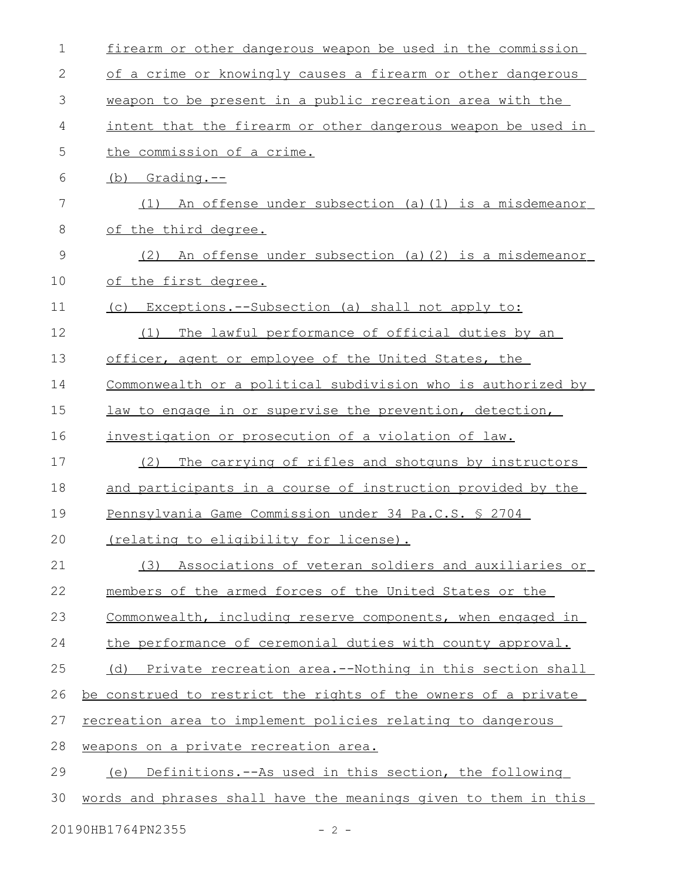| 1  | firearm or other dangerous weapon be used in the commission     |
|----|-----------------------------------------------------------------|
| 2  | of a crime or knowingly causes a firearm or other dangerous     |
| 3  | weapon to be present in a public recreation area with the       |
| 4  | intent that the firearm or other dangerous weapon be used in    |
| 5  | the commission of a crime.                                      |
| 6  | $(b)$ Grading.--                                                |
| 7  | An offense under subsection (a) (1) is a misdemeanor<br>(1)     |
| 8  | of the third degree.                                            |
| 9  | An offense under subsection (a) (2) is a misdemeanor<br>(2)     |
| 10 | of the first degree.                                            |
| 11 | (c) Exceptions.--Subsection (a) shall not apply to:             |
| 12 | The lawful performance of official duties by an<br>(1)          |
| 13 | officer, agent or employee of the United States, the            |
| 14 | Commonwealth or a political subdivision who is authorized by    |
| 15 | law to engage in or supervise the prevention, detection,        |
| 16 | investigation or prosecution of a violation of law.             |
| 17 | (2)<br>The carrying of rifles and shotquns by instructors       |
| 18 | and participants in a course of instruction provided by the     |
| 19 | Pennsylvania Game Commission under 34 Pa.C.S. § 2704            |
| 20 | (relating to eligibility for license).                          |
| 21 | (3) Associations of veteran soldiers and auxiliaries or         |
| 22 | members of the armed forces of the United States or the         |
| 23 | Commonwealth, including reserve components, when engaged in     |
| 24 | the performance of ceremonial duties with county approval.      |
| 25 | (d) Private recreation area.--Nothing in this section shall     |
| 26 | be construed to restrict the rights of the owners of a private  |
| 27 | recreation area to implement policies relating to dangerous     |
| 28 | weapons on a private recreation area.                           |
| 29 | (e) Definitions.--As used in this section, the following        |
| 30 | words and phrases shall have the meanings given to them in this |
|    |                                                                 |

20190HB1764PN2355 - 2 -